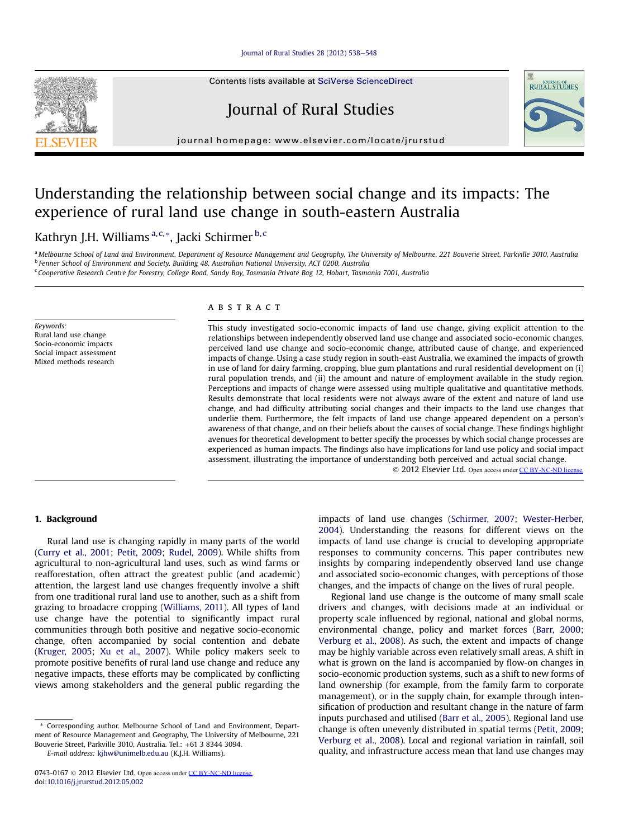# [Journal of Rural Studies 28 \(2012\) 538](http://dx.doi.org/10.1016/j.jrurstud.2012.05.002)-[548](http://dx.doi.org/10.1016/j.jrurstud.2012.05.002)

Contents lists available at [SciVerse ScienceDirect](www.sciencedirect.com/science/journal/07430167)

# Journal of Rural Studies



journal homepage: [www.elsevier.com/locate/jrurstud](http://www.elsevier.com/locate/jrurstud)

# Understanding the relationship between social change and its impacts: The experience of rural land use change in south-eastern Australia

Kathryn J.H. Williams<sup>a,c,\*</sup>, Jacki Schirmer<sup>b,c</sup>

<sup>a</sup> Melbourne School of Land and Environment, Department of Resource Management and Geography, The University of Melbourne, 221 Bouverie Street, Parkville 3010, Australia <sup>b</sup> Fenner School of Environment and Society, Building 48, Australian National University, ACT 0200, Australia <sup>c</sup> Cooperative Research Centre for Forestry, College Road, Sandy Bay, Tasmania Private Bag 12, Hobart, Tasmania 7001, Australia

Keywords: Rural land use change Socio-economic impacts Social impact assessment Mixed methods research

## **ABSTRACT**

This study investigated socio-economic impacts of land use change, giving explicit attention to the relationships between independently observed land use change and associated socio-economic changes, perceived land use change and socio-economic change, attributed cause of change, and experienced impacts of change. Using a case study region in south-east Australia, we examined the impacts of growth in use of land for dairy farming, cropping, blue gum plantations and rural residential development on (i) rural population trends, and (ii) the amount and nature of employment available in the study region. Perceptions and impacts of change were assessed using multiple qualitative and quantitative methods. Results demonstrate that local residents were not always aware of the extent and nature of land use change, and had difficulty attributing social changes and their impacts to the land use changes that underlie them. Furthermore, the felt impacts of land use change appeared dependent on a person's awareness of that change, and on their beliefs about the causes of social change. These findings highlight avenues for theoretical development to better specify the processes by which social change processes are experienced as human impacts. The findings also have implications for land use policy and social impact assessment, illustrating the importance of understanding both perceived and actual social change.

2012 Elsevier Ltd. Open access under [CC BY-NC-ND license.](http://creativecommons.org/licenses/by-nc-nd/3.0/)

# 1. Background

Rural land use is changing rapidly in many parts of the world ([Curry et al., 2001;](#page-9-0) [Petit, 2009](#page-10-0); [Rudel, 2009](#page-10-0)). While shifts from agricultural to non-agricultural land uses, such as wind farms or reafforestation, often attract the greatest public (and academic) attention, the largest land use changes frequently involve a shift from one traditional rural land use to another, such as a shift from grazing to broadacre cropping [\(Williams, 2011\)](#page-10-0). All types of land use change have the potential to significantly impact rural communities through both positive and negative socio-economic change, often accompanied by social contention and debate ([Kruger, 2005](#page-9-0); [Xu et al., 2007\)](#page-10-0). While policy makers seek to promote positive benefits of rural land use change and reduce any negative impacts, these efforts may be complicated by conflicting views among stakeholders and the general public regarding the

\* Corresponding author. Melbourne School of Land and Environment, Department of Resource Management and Geography, The University of Melbourne, 221 Bouverie Street, Parkville 3010, Australia. Tel.: +61 3 8344 3094.

E-mail address: [kjhw@unimelb.edu.au](mailto:kjhw@unimelb.edu.au) (K.J.H. Williams).

impacts of land use changes [\(Schirmer, 2007](#page-10-0); [Wester-Herber,](#page-10-0) [2004](#page-10-0)). Understanding the reasons for different views on the impacts of land use change is crucial to developing appropriate responses to community concerns. This paper contributes new insights by comparing independently observed land use change and associated socio-economic changes, with perceptions of those changes, and the impacts of change on the lives of rural people.

Regional land use change is the outcome of many small scale drivers and changes, with decisions made at an individual or property scale influenced by regional, national and global norms, environmental change, policy and market forces ([Barr, 2000](#page-9-0); [Verburg et al., 2008](#page-10-0)). As such, the extent and impacts of change may be highly variable across even relatively small areas. A shift in what is grown on the land is accompanied by flow-on changes in socio-economic production systems, such as a shift to new forms of land ownership (for example, from the family farm to corporate management), or in the supply chain, for example through intensification of production and resultant change in the nature of farm inputs purchased and utilised [\(Barr et al., 2005](#page-9-0)). Regional land use change is often unevenly distributed in spatial terms ([Petit, 2009](#page-10-0); [Verburg et al., 2008\)](#page-10-0). Local and regional variation in rainfall, soil quality, and infrastructure access mean that land use changes may

<sup>0743-0167 © 2012</sup> Elsevier Ltd. Open access under [CC BY-NC-ND license.](http://creativecommons.org/licenses/by-nc-nd/3.0/) doi:[10.1016/j.jrurstud.2012.05.002](http://dx.doi.org/10.1016/j.jrurstud.2012.05.002)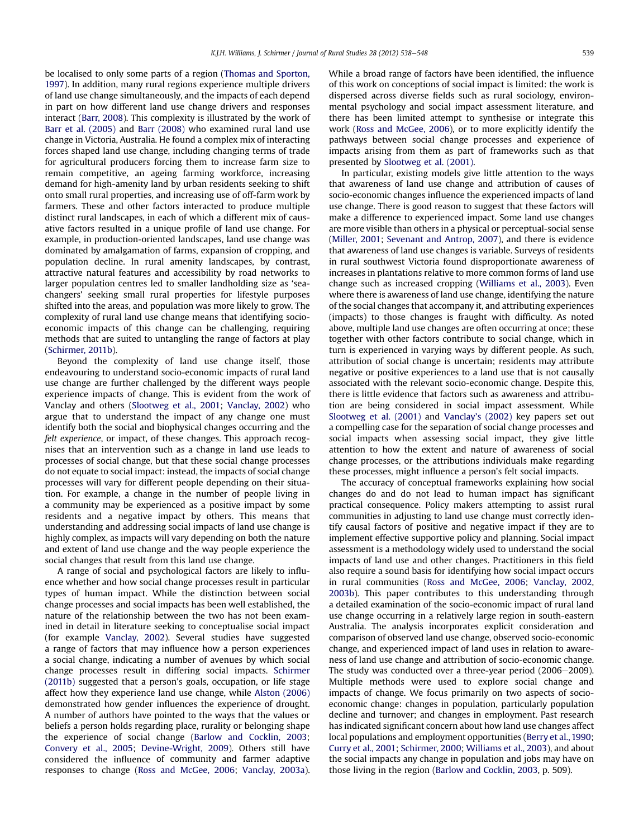be localised to only some parts of a region [\(Thomas and Sporton,](#page-10-0) [1997\)](#page-10-0). In addition, many rural regions experience multiple drivers of land use change simultaneously, and the impacts of each depend in part on how different land use change drivers and responses interact [\(Barr, 2008\)](#page-9-0). This complexity is illustrated by the work of [Barr et al. \(2005\)](#page-9-0) and [Barr \(2008\)](#page-9-0) who examined rural land use change in Victoria, Australia. He found a complex mix of interacting forces shaped land use change, including changing terms of trade for agricultural producers forcing them to increase farm size to remain competitive, an ageing farming workforce, increasing demand for high-amenity land by urban residents seeking to shift onto small rural properties, and increasing use of off-farm work by farmers. These and other factors interacted to produce multiple distinct rural landscapes, in each of which a different mix of causative factors resulted in a unique profile of land use change. For example, in production-oriented landscapes, land use change was dominated by amalgamation of farms, expansion of cropping, and population decline. In rural amenity landscapes, by contrast, attractive natural features and accessibility by road networks to larger population centres led to smaller landholding size as 'seachangers' seeking small rural properties for lifestyle purposes shifted into the areas, and population was more likely to grow. The complexity of rural land use change means that identifying socioeconomic impacts of this change can be challenging, requiring methods that are suited to untangling the range of factors at play ([Schirmer, 2011b](#page-10-0)).

Beyond the complexity of land use change itself, those endeavouring to understand socio-economic impacts of rural land use change are further challenged by the different ways people experience impacts of change. This is evident from the work of Vanclay and others [\(Slootweg et al., 2001;](#page-10-0) [Vanclay, 2002\)](#page-10-0) who argue that to understand the impact of any change one must identify both the social and biophysical changes occurring and the felt experience, or impact, of these changes. This approach recognises that an intervention such as a change in land use leads to processes of social change, but that these social change processes do not equate to social impact: instead, the impacts of social change processes will vary for different people depending on their situation. For example, a change in the number of people living in a community may be experienced as a positive impact by some residents and a negative impact by others. This means that understanding and addressing social impacts of land use change is highly complex, as impacts will vary depending on both the nature and extent of land use change and the way people experience the social changes that result from this land use change.

A range of social and psychological factors are likely to influence whether and how social change processes result in particular types of human impact. While the distinction between social change processes and social impacts has been well established, the nature of the relationship between the two has not been examined in detail in literature seeking to conceptualise social impact (for example [Vanclay, 2002](#page-10-0)). Several studies have suggested a range of factors that may influence how a person experiences a social change, indicating a number of avenues by which social change processes result in differing social impacts. [Schirmer](#page-10-0) [\(2011b\)](#page-10-0) suggested that a person's goals, occupation, or life stage affect how they experience land use change, while [Alston \(2006\)](#page-9-0) demonstrated how gender influences the experience of drought. A number of authors have pointed to the ways that the values or beliefs a person holds regarding place, rurality or belonging shape the experience of social change ([Barlow and Cocklin, 2003;](#page-9-0) [Convery et al., 2005;](#page-9-0) [Devine-Wright, 2009](#page-9-0)). Others still have considered the influence of community and farmer adaptive responses to change ([Ross and McGee, 2006](#page-10-0); [Vanclay, 2003a\)](#page-10-0). While a broad range of factors have been identified, the influence of this work on conceptions of social impact is limited: the work is dispersed across diverse fields such as rural sociology, environmental psychology and social impact assessment literature, and there has been limited attempt to synthesise or integrate this work [\(Ross and McGee, 2006\)](#page-10-0), or to more explicitly identify the pathways between social change processes and experience of impacts arising from them as part of frameworks such as that presented by [Slootweg et al. \(2001\)](#page-10-0).

In particular, existing models give little attention to the ways that awareness of land use change and attribution of causes of socio-economic changes influence the experienced impacts of land use change. There is good reason to suggest that these factors will make a difference to experienced impact. Some land use changes are more visible than others in a physical or perceptual-social sense ([Miller, 2001;](#page-9-0) [Sevenant and Antrop, 2007\)](#page-10-0), and there is evidence that awareness of land use changes is variable. Surveys of residents in rural southwest Victoria found disproportionate awareness of increases in plantations relative to more common forms of land use change such as increased cropping [\(Williams et al., 2003\)](#page-10-0). Even where there is awareness of land use change, identifying the nature of the social changes that accompany it, and attributing experiences (impacts) to those changes is fraught with difficulty. As noted above, multiple land use changes are often occurring at once; these together with other factors contribute to social change, which in turn is experienced in varying ways by different people. As such, attribution of social change is uncertain; residents may attribute negative or positive experiences to a land use that is not causally associated with the relevant socio-economic change. Despite this, there is little evidence that factors such as awareness and attribution are being considered in social impact assessment. While [Slootweg et al. \(2001\)](#page-10-0) and Vanclay'[s \(2002\)](#page-10-0) key papers set out a compelling case for the separation of social change processes and social impacts when assessing social impact, they give little attention to how the extent and nature of awareness of social change processes, or the attributions individuals make regarding these processes, might influence a person's felt social impacts.

The accuracy of conceptual frameworks explaining how social changes do and do not lead to human impact has significant practical consequence. Policy makers attempting to assist rural communities in adjusting to land use change must correctly identify causal factors of positive and negative impact if they are to implement effective supportive policy and planning. Social impact assessment is a methodology widely used to understand the social impacts of land use and other changes. Practitioners in this field also require a sound basis for identifying how social impact occurs in rural communities [\(Ross and McGee, 2006;](#page-10-0) [Vanclay, 2002,](#page-10-0) [2003b](#page-10-0)). This paper contributes to this understanding through a detailed examination of the socio-economic impact of rural land use change occurring in a relatively large region in south-eastern Australia. The analysis incorporates explicit consideration and comparison of observed land use change, observed socio-economic change, and experienced impact of land uses in relation to awareness of land use change and attribution of socio-economic change. The study was conducted over a three-year period  $(2006-2009)$ . Multiple methods were used to explore social change and impacts of change. We focus primarily on two aspects of socioeconomic change: changes in population, particularly population decline and turnover; and changes in employment. Past research has indicated significant concern about how land use changes affect local populations and employment opportunities ([Berry et al., 1990;](#page-9-0) [Curry et al., 2001;](#page-9-0) [Schirmer, 2000;](#page-10-0) [Williams et al., 2003](#page-10-0)), and about the social impacts any change in population and jobs may have on those living in the region ([Barlow and Cocklin, 2003](#page-9-0), p. 509).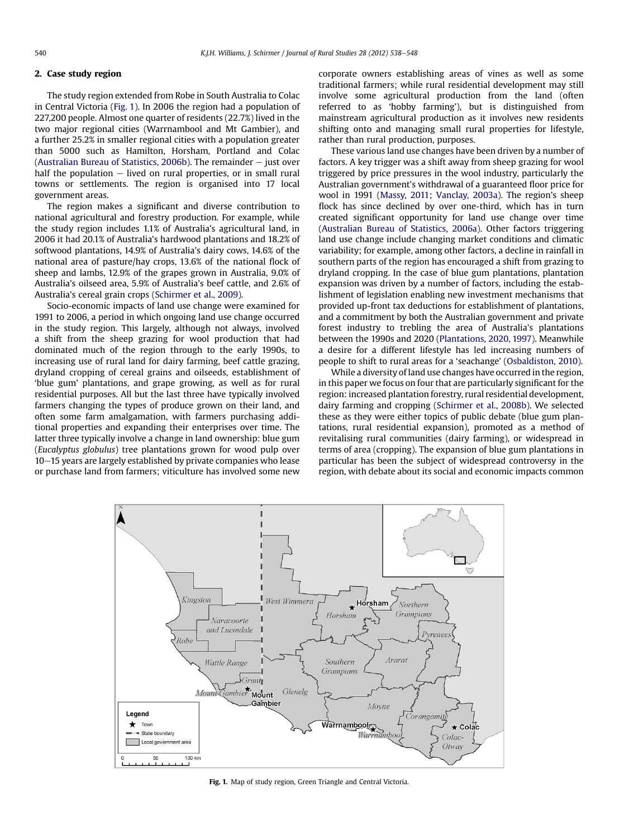# 2. Case study region

The study region extended from Robe in South Australia to Colac in Central Victoria (Fig. 1). In 2006 the region had a population of 227,200 people. Almost one quarter of residents (22.7%) lived in the two major regional cities (Warrnambool and Mt Gambier), and a further 25.2% in smaller regional cities with a population greater than 5000 such as Hamilton, Horsham, Portland and Colac ([Australian Bureau of Statistics, 2006b\)](#page-9-0). The remainder  $-$  just over half the population  $-$  lived on rural properties, or in small rural towns or settlements. The region is organised into 17 local government areas.

The region makes a significant and diverse contribution to national agricultural and forestry production. For example, while the study region includes 1.1% of Australia's agricultural land, in 2006 it had 20.1% of Australia's hardwood plantations and 18.2% of softwood plantations, 14.9% of Australia's dairy cows, 14.6% of the national area of pasture/hay crops, 13.6% of the national flock of sheep and lambs, 12.9% of the grapes grown in Australia, 9.0% of Australia's oilseed area, 5.9% of Australia's beef cattle, and 2.6% of Australia's cereal grain crops ([Schirmer et al., 2009](#page-10-0)).

Socio-economic impacts of land use change were examined for 1991 to 2006, a period in which ongoing land use change occurred in the study region. This largely, although not always, involved a shift from the sheep grazing for wool production that had dominated much of the region through to the early 1990s, to increasing use of rural land for dairy farming, beef cattle grazing, dryland cropping of cereal grains and oilseeds, establishment of 'blue gum' plantations, and grape growing, as well as for rural residential purposes. All but the last three have typically involved farmers changing the types of produce grown on their land, and often some farm amalgamation, with farmers purchasing additional properties and expanding their enterprises over time. The latter three typically involve a change in land ownership: blue gum (Eucalyptus globulus) tree plantations grown for wood pulp over  $10-15$  years are largely established by private companies who lease or purchase land from farmers; viticulture has involved some new corporate owners establishing areas of vines as well as some traditional farmers; while rural residential development may still involve some agricultural production from the land (often referred to as 'hobby farming'), but is distinguished from mainstream agricultural production as it involves new residents shifting onto and managing small rural properties for lifestyle, rather than rural production, purposes.

These various land use changes have been driven by a number of factors. A key trigger was a shift away from sheep grazing for wool triggered by price pressures in the wool industry, particularly the Australian government's withdrawal of a guaranteed floor price for wool in 1991 [\(Massy, 2011;](#page-9-0) [Vanclay, 2003a](#page-10-0)). The region's sheep flock has since declined by over one-third, which has in turn created significant opportunity for land use change over time ([Australian Bureau of Statistics, 2006a\)](#page-9-0). Other factors triggering land use change include changing market conditions and climatic variability; for example, among other factors, a decline in rainfall in southern parts of the region has encouraged a shift from grazing to dryland cropping. In the case of blue gum plantations, plantation expansion was driven by a number of factors, including the establishment of legislation enabling new investment mechanisms that provided up-front tax deductions for establishment of plantations, and a commitment by both the Australian government and private forest industry to trebling the area of Australia's plantations between the 1990s and 2020 [\(Plantations, 2020, 1997\)](#page-10-0). Meanwhile a desire for a different lifestyle has led increasing numbers of people to shift to rural areas for a 'seachange' [\(Osbaldiston, 2010](#page-9-0)).

While a diversity of land use changes have occurred in the region, in this paper we focus on four that are particularly significant for the region: increased plantation forestry, rural residential development, dairy farming and cropping ([Schirmer et al., 2008b\)](#page-10-0). We selected these as they were either topics of public debate (blue gum plantations, rural residential expansion), promoted as a method of revitalising rural communities (dairy farming), or widespread in terms of area (cropping). The expansion of blue gum plantations in particular has been the subject of widespread controversy in the region, with debate about its social and economic impacts common



Fig. 1. Map of study region, Green Triangle and Central Victoria.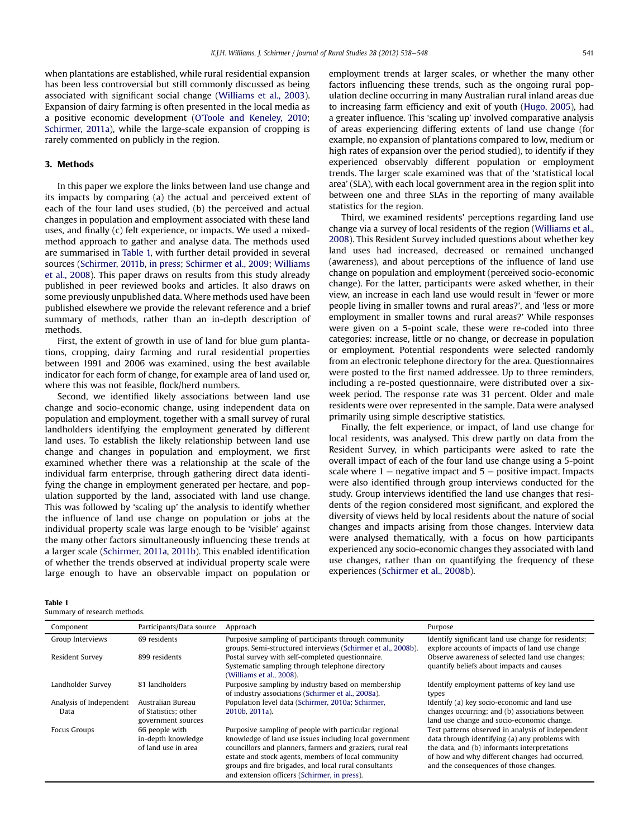when plantations are established, while rural residential expansion has been less controversial but still commonly discussed as being associated with significant social change [\(Williams et al., 2003\)](#page-10-0). Expansion of dairy farming is often presented in the local media as a positive economic development (O'[Toole and Keneley, 2010;](#page-9-0) [Schirmer, 2011a\)](#page-10-0), while the large-scale expansion of cropping is rarely commented on publicly in the region.

# 3. Methods

In this paper we explore the links between land use change and its impacts by comparing (a) the actual and perceived extent of each of the four land uses studied, (b) the perceived and actual changes in population and employment associated with these land uses, and finally (c) felt experience, or impacts. We used a mixedmethod approach to gather and analyse data. The methods used are summarised in Table 1, with further detail provided in several sources [\(Schirmer, 2011b](#page-10-0), [in press;](#page-10-0) [Schirmer et al., 2009;](#page-10-0) [Williams](#page-10-0) [et al., 2008\)](#page-10-0). This paper draws on results from this study already published in peer reviewed books and articles. It also draws on some previously unpublished data. Where methods used have been published elsewhere we provide the relevant reference and a brief summary of methods, rather than an in-depth description of methods.

First, the extent of growth in use of land for blue gum plantations, cropping, dairy farming and rural residential properties between 1991 and 2006 was examined, using the best available indicator for each form of change, for example area of land used or, where this was not feasible, flock/herd numbers.

Second, we identified likely associations between land use change and socio-economic change, using independent data on population and employment, together with a small survey of rural landholders identifying the employment generated by different land uses. To establish the likely relationship between land use change and changes in population and employment, we first examined whether there was a relationship at the scale of the individual farm enterprise, through gathering direct data identifying the change in employment generated per hectare, and population supported by the land, associated with land use change. This was followed by 'scaling up' the analysis to identify whether the influence of land use change on population or jobs at the individual property scale was large enough to be 'visible' against the many other factors simultaneously influencing these trends at a larger scale ([Schirmer, 2011a](#page-10-0), [2011b](#page-10-0)). This enabled identification of whether the trends observed at individual property scale were large enough to have an observable impact on population or

#### Table 1

Summary of research methods.

employment trends at larger scales, or whether the many other factors influencing these trends, such as the ongoing rural population decline occurring in many Australian rural inland areas due to increasing farm efficiency and exit of youth [\(Hugo, 2005](#page-9-0)), had a greater influence. This 'scaling up' involved comparative analysis of areas experiencing differing extents of land use change (for example, no expansion of plantations compared to low, medium or high rates of expansion over the period studied), to identify if they experienced observably different population or employment trends. The larger scale examined was that of the 'statistical local area' (SLA), with each local government area in the region split into between one and three SLAs in the reporting of many available statistics for the region.

Third, we examined residents' perceptions regarding land use change via a survey of local residents of the region ([Williams et al.,](#page-10-0) [2008\)](#page-10-0). This Resident Survey included questions about whether key land uses had increased, decreased or remained unchanged (awareness), and about perceptions of the influence of land use change on population and employment (perceived socio-economic change). For the latter, participants were asked whether, in their view, an increase in each land use would result in 'fewer or more people living in smaller towns and rural areas?', and 'less or more employment in smaller towns and rural areas?' While responses were given on a 5-point scale, these were re-coded into three categories: increase, little or no change, or decrease in population or employment. Potential respondents were selected randomly from an electronic telephone directory for the area. Questionnaires were posted to the first named addressee. Up to three reminders, including a re-posted questionnaire, were distributed over a sixweek period. The response rate was 31 percent. Older and male residents were over represented in the sample. Data were analysed primarily using simple descriptive statistics.

Finally, the felt experience, or impact, of land use change for local residents, was analysed. This drew partly on data from the Resident Survey, in which participants were asked to rate the overall impact of each of the four land use change using a 5-point scale where  $1$  = negative impact and  $5$  = positive impact. Impacts were also identified through group interviews conducted for the study. Group interviews identified the land use changes that residents of the region considered most significant, and explored the diversity of views held by local residents about the nature of social changes and impacts arising from those changes. Interview data were analysed thematically, with a focus on how participants experienced any socio-economic changes they associated with land use changes, rather than on quantifying the frequency of these experiences ([Schirmer et al., 2008b](#page-10-0)).

| Component               | Participants/Data source                                    | Approach                                                                                                                                                                                                                                                                                                                                       | Purpose                                                                                                                                                                                                                                         |
|-------------------------|-------------------------------------------------------------|------------------------------------------------------------------------------------------------------------------------------------------------------------------------------------------------------------------------------------------------------------------------------------------------------------------------------------------------|-------------------------------------------------------------------------------------------------------------------------------------------------------------------------------------------------------------------------------------------------|
| Group Interviews        | 69 residents                                                | Purposive sampling of participants through community                                                                                                                                                                                                                                                                                           | Identify significant land use change for residents;                                                                                                                                                                                             |
| Resident Survey         | 899 residents                                               | groups. Semi-structured interviews (Schirmer et al., 2008b).<br>Postal survey with self-completed questionnaire.<br>Systematic sampling through telephone directory<br>(Williams et al., 2008).                                                                                                                                                | explore accounts of impacts of land use change<br>Observe awareness of selected land use changes;<br>quantify beliefs about impacts and causes                                                                                                  |
| Landholder Survey       | 81 landholders                                              | Purposive sampling by industry based on membership<br>of industry associations (Schirmer et al., 2008a).                                                                                                                                                                                                                                       | Identify employment patterns of key land use<br>types                                                                                                                                                                                           |
| Analysis of Independent | Australian Bureau                                           | Population level data (Schirmer, 2010a; Schirmer,                                                                                                                                                                                                                                                                                              | Identify (a) key socio-economic and land use                                                                                                                                                                                                    |
| Data                    | of Statistics: other<br>government sources                  | 2010b. 2011a).                                                                                                                                                                                                                                                                                                                                 | changes occurring; and (b) associations between<br>land use change and socio-economic change.                                                                                                                                                   |
| <b>Focus Groups</b>     | 66 people with<br>in-depth knowledge<br>of land use in area | Purposive sampling of people with particular regional<br>knowledge of land use issues including local government<br>councillors and planners, farmers and graziers, rural real<br>estate and stock agents, members of local community<br>groups and fire brigades, and local rural consultants<br>and extension officers (Schirmer, in press). | Test patterns observed in analysis of independent<br>data through identifying (a) any problems with<br>the data, and (b) informants interpretations<br>of how and why different changes had occurred,<br>and the consequences of those changes. |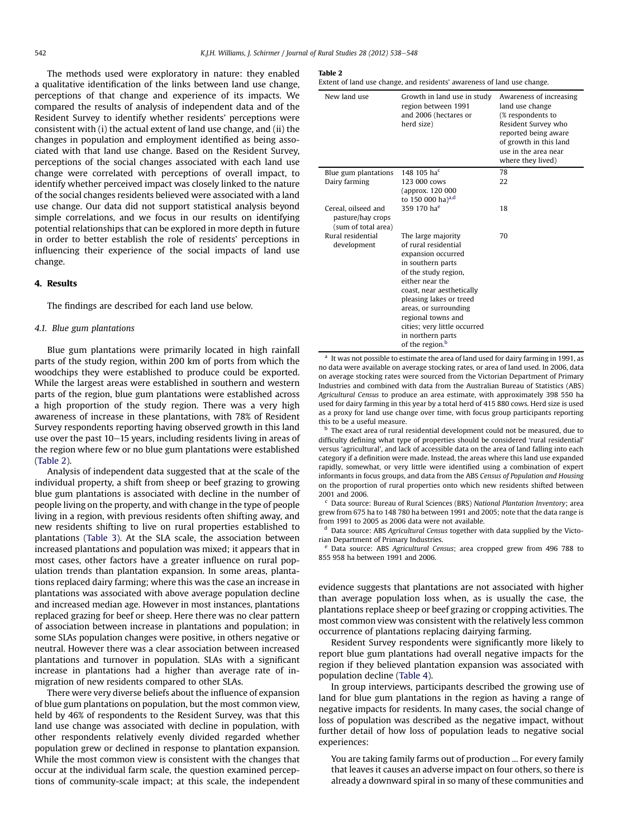<span id="page-4-0"></span>The methods used were exploratory in nature: they enabled a qualitative identification of the links between land use change, perceptions of that change and experience of its impacts. We compared the results of analysis of independent data and of the Resident Survey to identify whether residents' perceptions were consistent with (i) the actual extent of land use change, and (ii) the changes in population and employment identified as being associated with that land use change. Based on the Resident Survey, perceptions of the social changes associated with each land use change were correlated with perceptions of overall impact, to identify whether perceived impact was closely linked to the nature of the social changes residents believed were associated with a land use change. Our data did not support statistical analysis beyond simple correlations, and we focus in our results on identifying potential relationships that can be explored in more depth in future in order to better establish the role of residents' perceptions in influencing their experience of the social impacts of land use change.

### 4. Results

The findings are described for each land use below.

### 4.1. Blue gum plantations

Blue gum plantations were primarily located in high rainfall parts of the study region, within 200 km of ports from which the woodchips they were established to produce could be exported. While the largest areas were established in southern and western parts of the region, blue gum plantations were established across a high proportion of the study region. There was a very high awareness of increase in these plantations, with 78% of Resident Survey respondents reporting having observed growth in this land use over the past  $10-15$  years, including residents living in areas of the region where few or no blue gum plantations were established (Table 2).

Analysis of independent data suggested that at the scale of the individual property, a shift from sheep or beef grazing to growing blue gum plantations is associated with decline in the number of people living on the property, and with change in the type of people living in a region, with previous residents often shifting away, and new residents shifting to live on rural properties established to plantations [\(Table 3\)](#page-5-0). At the SLA scale, the association between increased plantations and population was mixed; it appears that in most cases, other factors have a greater influence on rural population trends than plantation expansion. In some areas, plantations replaced dairy farming; where this was the case an increase in plantations was associated with above average population decline and increased median age. However in most instances, plantations replaced grazing for beef or sheep. Here there was no clear pattern of association between increase in plantations and population; in some SLAs population changes were positive, in others negative or neutral. However there was a clear association between increased plantations and turnover in population. SLAs with a significant increase in plantations had a higher than average rate of inmigration of new residents compared to other SLAs.

There were very diverse beliefs about the influence of expansion of blue gum plantations on population, but the most common view, held by 46% of respondents to the Resident Survey, was that this land use change was associated with decline in population, with other respondents relatively evenly divided regarded whether population grew or declined in response to plantation expansion. While the most common view is consistent with the changes that occur at the individual farm scale, the question examined perceptions of community-scale impact; at this scale, the independent

#### Table 2

Extent of land use change, and residents' awareness of land use change.

| New land use                                                    | Growth in land use in study<br>region between 1991<br>and 2006 (hectares or<br>herd size)                                                                                                                                                                                                                                   | Awareness of increasing<br>land use change<br>(% respondents to<br>Resident Survey who<br>reported being aware<br>of growth in this land<br>use in the area near<br>where they lived) |
|-----------------------------------------------------------------|-----------------------------------------------------------------------------------------------------------------------------------------------------------------------------------------------------------------------------------------------------------------------------------------------------------------------------|---------------------------------------------------------------------------------------------------------------------------------------------------------------------------------------|
| Blue gum plantations                                            | 148 105 hac                                                                                                                                                                                                                                                                                                                 | 78                                                                                                                                                                                    |
| Dairy farming                                                   | 123 000 cows<br>(approx. 120 000<br>to 150 000 ha) <sup>a,d</sup>                                                                                                                                                                                                                                                           | 22                                                                                                                                                                                    |
| Cereal, oilseed and<br>pasture/hay crops<br>(sum of total area) | 359 170 ha <sup>e</sup>                                                                                                                                                                                                                                                                                                     | 18                                                                                                                                                                                    |
| Rural residential<br>development                                | The large majority<br>of rural residential<br>expansion occurred<br>in southern parts<br>of the study region,<br>either near the<br>coast, near aesthetically<br>pleasing lakes or treed<br>areas, or surrounding<br>regional towns and<br>cities; very little occurred<br>in northern parts<br>of the region. <sup>b</sup> | 70                                                                                                                                                                                    |

It was not possible to estimate the area of land used for dairy farming in 1991, as no data were available on average stocking rates, or area of land used. In 2006, data on average stocking rates were sourced from the Victorian Department of Primary Industries and combined with data from the Australian Bureau of Statistics (ABS) Agricultural Census to produce an area estimate, with approximately 398 550 ha used for dairy farming in this year by a total herd of 415 880 cows. Herd size is used as a proxy for land use change over time, with focus group participants reporting this to be a useful measure.

The exact area of rural residential development could not be measured, due to difficulty defining what type of properties should be considered 'rural residential' versus 'agricultural', and lack of accessible data on the area of land falling into each category if a definition were made. Instead, the areas where this land use expanded rapidly, somewhat, or very little were identified using a combination of expert informants in focus groups, and data from the ABS Census of Population and Housing on the proportion of rural properties onto which new residents shifted between 2001 and 2006.

 $c$  Data source: Bureau of Rural Sciences (BRS) National Plantation Inventory; area grew from 675 ha to 148 780 ha between 1991 and 2005; note that the data range is from 1991 to 2005 as 2006 data were not available.

<sup>d</sup> Data source: ABS Agricultural Census together with data supplied by the Victorian Department of Primary Industries.

<sup>e</sup> Data source: ABS Agricultural Census; area cropped grew from 496 788 to 855 958 ha between 1991 and 2006.

evidence suggests that plantations are not associated with higher than average population loss when, as is usually the case, the plantations replace sheep or beef grazing or cropping activities. The most common view was consistent with the relatively less common occurrence of plantations replacing dairying farming.

Resident Survey respondents were significantly more likely to report blue gum plantations had overall negative impacts for the region if they believed plantation expansion was associated with population decline [\(Table 4](#page-5-0)).

In group interviews, participants described the growing use of land for blue gum plantations in the region as having a range of negative impacts for residents. In many cases, the social change of loss of population was described as the negative impact, without further detail of how loss of population leads to negative social experiences:

You are taking family farms out of production ... For every family that leaves it causes an adverse impact on four others, so there is already a downward spiral in so many of these communities and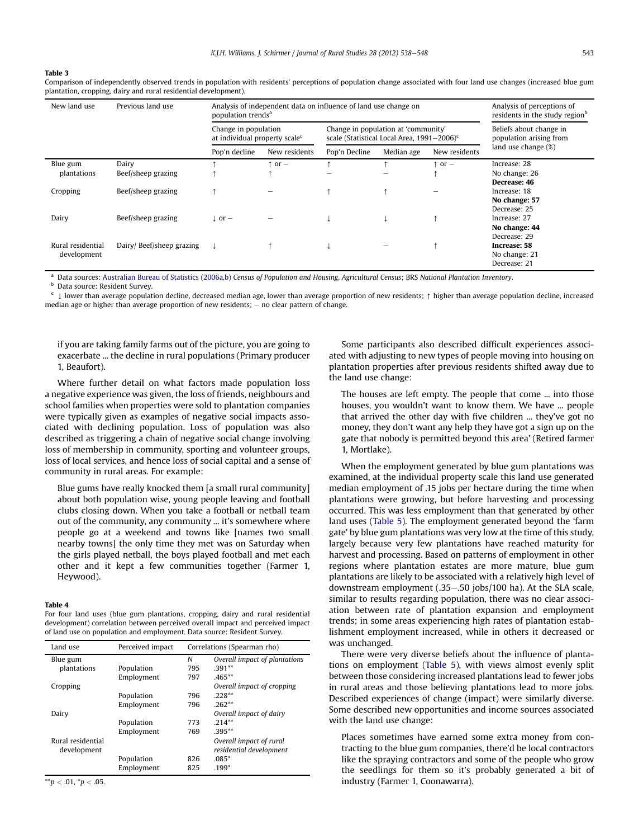#### <span id="page-5-0"></span>Table 3

Comparison of independently observed trends in population with residents' perceptions of population change associated with four land use changes (increased blue gum plantation, cropping, dairy and rural residential development).

| New land use      | Previous land use        | Analysis of independent data on influence of land use change on<br>population trends <sup>a</sup> |               |                                                                                               |            | Analysis of perceptions of<br>residents in the study region <sup>b</sup> |                                                    |
|-------------------|--------------------------|---------------------------------------------------------------------------------------------------|---------------|-----------------------------------------------------------------------------------------------|------------|--------------------------------------------------------------------------|----------------------------------------------------|
|                   |                          | Change in population<br>at individual property scale <sup>c</sup>                                 |               | Change in population at 'community'<br>scale (Statistical Local Area, 1991-2006) <sup>c</sup> |            |                                                                          | Beliefs about change in<br>population arising from |
|                   |                          | Pop'n decline                                                                                     | New residents | Pop'n Decline                                                                                 | Median age | New residents                                                            | land use change $(\%)$                             |
| Blue gum          | Dairy                    |                                                                                                   | $or -$        |                                                                                               |            | $or -$                                                                   | Increase: 28                                       |
| plantations       | Beef/sheep grazing       |                                                                                                   |               |                                                                                               |            |                                                                          | No change: 26                                      |
|                   |                          |                                                                                                   |               |                                                                                               |            |                                                                          | Decrease: 46                                       |
| Cropping          | Beef/sheep grazing       |                                                                                                   |               |                                                                                               |            |                                                                          | Increase: 18                                       |
|                   |                          |                                                                                                   |               |                                                                                               |            |                                                                          | No change: 57                                      |
|                   |                          |                                                                                                   |               |                                                                                               |            |                                                                          | Decrease: 25                                       |
| Dairy             | Beef/sheep grazing       | $\perp$ or $-$                                                                                    |               |                                                                                               |            |                                                                          | Increase: 27                                       |
|                   |                          |                                                                                                   |               |                                                                                               |            |                                                                          | No change: 44                                      |
|                   |                          |                                                                                                   |               |                                                                                               |            |                                                                          | Decrease: 29                                       |
| Rural residential | Dairy/Beef/sheep grazing |                                                                                                   |               |                                                                                               |            |                                                                          | Increase: 58                                       |
| development       |                          |                                                                                                   |               |                                                                                               |            |                                                                          | No change: 21                                      |
|                   |                          |                                                                                                   |               |                                                                                               |            |                                                                          | Decrease: 21                                       |

<sup>a</sup> Data sources: [Australian Bureau of Statistics \(2006a,b\)](#page-9-0) Census of Population and Housing, Agricultural Census; BRS National Plantation Inventory.

Data source: Resident Survey.

 $\downarrow$  lower than average population decline, decreased median age, lower than average proportion of new residents;  $\uparrow$  higher than average population decline, increased median age or higher than average proportion of new residents; - no clear pattern of change.

if you are taking family farms out of the picture, you are going to exacerbate ... the decline in rural populations (Primary producer 1, Beaufort).

Where further detail on what factors made population loss a negative experience was given, the loss of friends, neighbours and school families when properties were sold to plantation companies were typically given as examples of negative social impacts associated with declining population. Loss of population was also described as triggering a chain of negative social change involving loss of membership in community, sporting and volunteer groups, loss of local services, and hence loss of social capital and a sense of community in rural areas. For example:

Blue gums have really knocked them [a small rural community] about both population wise, young people leaving and football clubs closing down. When you take a football or netball team out of the community, any community ... it's somewhere where people go at a weekend and towns like [names two small nearby towns] the only time they met was on Saturday when the girls played netball, the boys played football and met each other and it kept a few communities together (Farmer 1, Heywood).

#### Table 4

For four land uses (blue gum plantations, cropping, dairy and rural residential development) correlation between perceived overall impact and perceived impact of land use on population and employment. Data source: Resident Survey.

| Land use          | Perceived impact | Correlations (Spearman rho) |                               |  |
|-------------------|------------------|-----------------------------|-------------------------------|--|
| Blue gum          |                  | N                           | Overall impact of plantations |  |
| plantations       | Population       | 795                         | $.391**$                      |  |
|                   | Employment       | 797                         | $.465***$                     |  |
| Cropping          |                  |                             | Overall impact of cropping    |  |
|                   | Population       | 796                         | $.228**$                      |  |
|                   | Employment       | 796                         | $.262**$                      |  |
| Dairy             |                  |                             | Overall impact of dairy       |  |
|                   | Population       | 773                         | $.214**$                      |  |
|                   | Employment       | 769                         | $.395***$                     |  |
| Rural residential |                  |                             | Overall impact of rural       |  |
| development       |                  |                             | residential development       |  |
|                   | Population       | 826                         | $.085*$                       |  |
|                   | Employment       | 825                         | $.199*$                       |  |

\*\*p < .01,  ${}^*p$  < .05.

Some participants also described difficult experiences associated with adjusting to new types of people moving into housing on plantation properties after previous residents shifted away due to the land use change:

The houses are left empty. The people that come ... into those houses, you wouldn't want to know them. We have ... people that arrived the other day with five children ... they've got no money, they don't want any help they have got a sign up on the gate that nobody is permitted beyond this area' (Retired farmer 1, Mortlake).

When the employment generated by blue gum plantations was examined, at the individual property scale this land use generated median employment of .15 jobs per hectare during the time when plantations were growing, but before harvesting and processing occurred. This was less employment than that generated by other land uses [\(Table 5\)](#page-6-0). The employment generated beyond the 'farm gate' by blue gum plantations was very low at the time of this study, largely because very few plantations have reached maturity for harvest and processing. Based on patterns of employment in other regions where plantation estates are more mature, blue gum plantations are likely to be associated with a relatively high level of downstream employment (.35-.50 jobs/100 ha). At the SLA scale, similar to results regarding population, there was no clear association between rate of plantation expansion and employment trends; in some areas experiencing high rates of plantation establishment employment increased, while in others it decreased or was unchanged.

There were very diverse beliefs about the influence of plantations on employment [\(Table 5\)](#page-6-0), with views almost evenly split between those considering increased plantations lead to fewer jobs in rural areas and those believing plantations lead to more jobs. Described experiences of change (impact) were similarly diverse. Some described new opportunities and income sources associated with the land use change:

Places sometimes have earned some extra money from contracting to the blue gum companies, there'd be local contractors like the spraying contractors and some of the people who grow the seedlings for them so it's probably generated a bit of industry (Farmer 1, Coonawarra).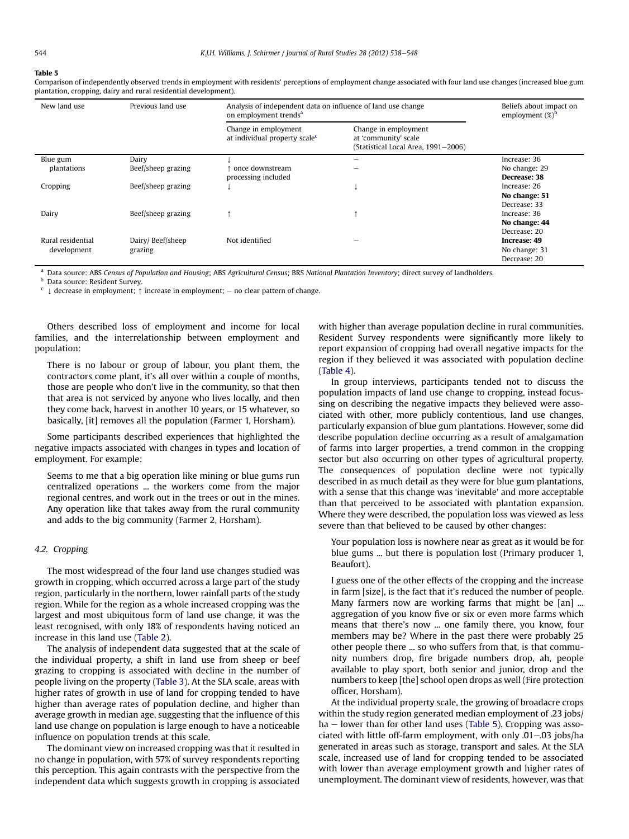#### <span id="page-6-0"></span>Table 5

Comparison of independently observed trends in employment with residents' perceptions of employment change associated with four land use changes (increased blue gum plantation, cropping, dairy and rural residential development).

| New land use      | Previous land use  | Analysis of independent data on influence of land use change<br>on employment trends <sup>a</sup> | Beliefs about impact on<br>employment $(\%)^b$                                      |               |
|-------------------|--------------------|---------------------------------------------------------------------------------------------------|-------------------------------------------------------------------------------------|---------------|
|                   |                    | Change in employment<br>at individual property scale <sup>c</sup>                                 | Change in employment<br>at 'community' scale<br>(Statistical Local Area, 1991-2006) |               |
| Blue gum          | Dairy              |                                                                                                   |                                                                                     | Increase: 36  |
| plantations       | Beef/sheep grazing | once downstream                                                                                   |                                                                                     | No change: 29 |
|                   |                    | processing included                                                                               |                                                                                     | Decrease: 38  |
| Cropping          | Beef/sheep grazing |                                                                                                   |                                                                                     | Increase: 26  |
|                   |                    |                                                                                                   |                                                                                     | No change: 51 |
|                   |                    |                                                                                                   |                                                                                     | Decrease: 33  |
| Dairy             | Beef/sheep grazing |                                                                                                   |                                                                                     | Increase: 36  |
|                   |                    |                                                                                                   |                                                                                     | No change: 44 |
|                   |                    |                                                                                                   |                                                                                     | Decrease: 20  |
| Rural residential | Dairy/Beef/sheep   | Not identified                                                                                    |                                                                                     | Increase: 49  |
| development       | grazing            |                                                                                                   |                                                                                     | No change: 31 |
|                   |                    |                                                                                                   |                                                                                     | Decrease: 20  |

<sup>a</sup> Data source: ABS Census of Population and Housing; ABS Agricultural Census; BRS National Plantation Inventory; direct survey of landholders.

**b** Data source: Resident Survey.

 $c \downarrow$  decrease in employment;  $\uparrow$  increase in employment; – no clear pattern of change.

Others described loss of employment and income for local families, and the interrelationship between employment and population:

There is no labour or group of labour, you plant them, the contractors come plant, it's all over within a couple of months, those are people who don't live in the community, so that then that area is not serviced by anyone who lives locally, and then they come back, harvest in another 10 years, or 15 whatever, so basically, [it] removes all the population (Farmer 1, Horsham).

Some participants described experiences that highlighted the negative impacts associated with changes in types and location of employment. For example:

Seems to me that a big operation like mining or blue gums run centralized operations ... the workers come from the major regional centres, and work out in the trees or out in the mines. Any operation like that takes away from the rural community and adds to the big community (Farmer 2, Horsham).

# 4.2. Cropping

The most widespread of the four land use changes studied was growth in cropping, which occurred across a large part of the study region, particularly in the northern, lower rainfall parts of the study region. While for the region as a whole increased cropping was the largest and most ubiquitous form of land use change, it was the least recognised, with only 18% of respondents having noticed an increase in this land use [\(Table 2](#page-4-0)).

The analysis of independent data suggested that at the scale of the individual property, a shift in land use from sheep or beef grazing to cropping is associated with decline in the number of people living on the property ([Table 3](#page-5-0)). At the SLA scale, areas with higher rates of growth in use of land for cropping tended to have higher than average rates of population decline, and higher than average growth in median age, suggesting that the influence of this land use change on population is large enough to have a noticeable influence on population trends at this scale.

The dominant view on increased cropping was that it resulted in no change in population, with 57% of survey respondents reporting this perception. This again contrasts with the perspective from the independent data which suggests growth in cropping is associated with higher than average population decline in rural communities. Resident Survey respondents were significantly more likely to report expansion of cropping had overall negative impacts for the region if they believed it was associated with population decline ([Table 4\)](#page-5-0).

In group interviews, participants tended not to discuss the population impacts of land use change to cropping, instead focussing on describing the negative impacts they believed were associated with other, more publicly contentious, land use changes, particularly expansion of blue gum plantations. However, some did describe population decline occurring as a result of amalgamation of farms into larger properties, a trend common in the cropping sector but also occurring on other types of agricultural property. The consequences of population decline were not typically described in as much detail as they were for blue gum plantations, with a sense that this change was 'inevitable' and more acceptable than that perceived to be associated with plantation expansion. Where they were described, the population loss was viewed as less severe than that believed to be caused by other changes:

Your population loss is nowhere near as great as it would be for blue gums ... but there is population lost (Primary producer 1, Beaufort).

I guess one of the other effects of the cropping and the increase in farm [size], is the fact that it's reduced the number of people. Many farmers now are working farms that might be [an] ... aggregation of you know five or six or even more farms which means that there's now ... one family there, you know, four members may be? Where in the past there were probably 25 other people there ... so who suffers from that, is that community numbers drop, fire brigade numbers drop, ah, people available to play sport, both senior and junior, drop and the numbers to keep [the] school open drops as well (Fire protection officer, Horsham).

At the individual property scale, the growing of broadacre crops within the study region generated median employment of .23 jobs/  $ha$  – lower than for other land uses (Table 5). Cropping was associated with little off-farm employment, with only  $.01-03$  jobs/ha generated in areas such as storage, transport and sales. At the SLA scale, increased use of land for cropping tended to be associated with lower than average employment growth and higher rates of unemployment. The dominant view of residents, however, was that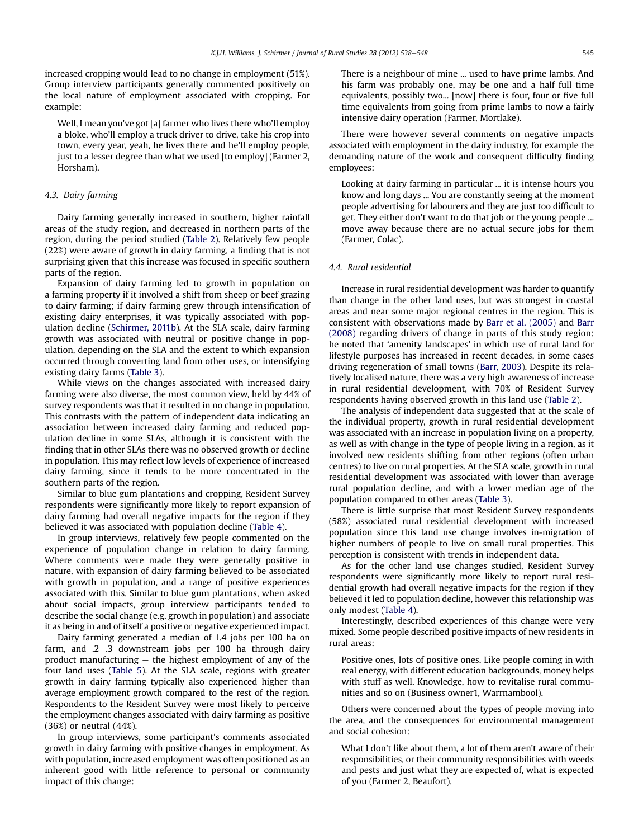increased cropping would lead to no change in employment (51%). Group interview participants generally commented positively on the local nature of employment associated with cropping. For example:

Well, I mean you've got [a] farmer who lives there who'll employ a bloke, who'll employ a truck driver to drive, take his crop into town, every year, yeah, he lives there and he'll employ people, just to a lesser degree than what we used [to employ] (Farmer 2, Horsham).

## 4.3. Dairy farming

Dairy farming generally increased in southern, higher rainfall areas of the study region, and decreased in northern parts of the region, during the period studied [\(Table 2\)](#page-4-0). Relatively few people (22%) were aware of growth in dairy farming, a finding that is not surprising given that this increase was focused in specific southern parts of the region.

Expansion of dairy farming led to growth in population on a farming property if it involved a shift from sheep or beef grazing to dairy farming; if dairy farming grew through intensification of existing dairy enterprises, it was typically associated with population decline [\(Schirmer, 2011b\)](#page-10-0). At the SLA scale, dairy farming growth was associated with neutral or positive change in population, depending on the SLA and the extent to which expansion occurred through converting land from other uses, or intensifying existing dairy farms ([Table 3\)](#page-5-0).

While views on the changes associated with increased dairy farming were also diverse, the most common view, held by 44% of survey respondents was that it resulted in no change in population. This contrasts with the pattern of independent data indicating an association between increased dairy farming and reduced population decline in some SLAs, although it is consistent with the finding that in other SLAs there was no observed growth or decline in population. This may reflect low levels of experience of increased dairy farming, since it tends to be more concentrated in the southern parts of the region.

Similar to blue gum plantations and cropping, Resident Survey respondents were significantly more likely to report expansion of dairy farming had overall negative impacts for the region if they believed it was associated with population decline ([Table 4\)](#page-5-0).

In group interviews, relatively few people commented on the experience of population change in relation to dairy farming. Where comments were made they were generally positive in nature, with expansion of dairy farming believed to be associated with growth in population, and a range of positive experiences associated with this. Similar to blue gum plantations, when asked about social impacts, group interview participants tended to describe the social change (e.g. growth in population) and associate it as being in and of itself a positive or negative experienced impact.

Dairy farming generated a median of 1.4 jobs per 100 ha on farm, and  $.2-3$  downstream jobs per 100 ha through dairy product manufacturing  $-$  the highest employment of any of the four land uses ([Table 5](#page-6-0)). At the SLA scale, regions with greater growth in dairy farming typically also experienced higher than average employment growth compared to the rest of the region. Respondents to the Resident Survey were most likely to perceive the employment changes associated with dairy farming as positive (36%) or neutral (44%).

In group interviews, some participant's comments associated growth in dairy farming with positive changes in employment. As with population, increased employment was often positioned as an inherent good with little reference to personal or community impact of this change:

There is a neighbour of mine ... used to have prime lambs. And his farm was probably one, may be one and a half full time equivalents, possibly two... [now] there is four, four or five full time equivalents from going from prime lambs to now a fairly intensive dairy operation (Farmer, Mortlake).

There were however several comments on negative impacts associated with employment in the dairy industry, for example the demanding nature of the work and consequent difficulty finding employees:

Looking at dairy farming in particular ... it is intense hours you know and long days ... You are constantly seeing at the moment people advertising for labourers and they are just too difficult to get. They either don't want to do that job or the young people ... move away because there are no actual secure jobs for them (Farmer, Colac).

# 4.4. Rural residential

Increase in rural residential development was harder to quantify than change in the other land uses, but was strongest in coastal areas and near some major regional centres in the region. This is consistent with observations made by [Barr et al. \(2005\)](#page-9-0) and [Barr](#page-9-0) [\(2008\)](#page-9-0) regarding drivers of change in parts of this study region: he noted that 'amenity landscapes' in which use of rural land for lifestyle purposes has increased in recent decades, in some cases driving regeneration of small towns ([Barr, 2003](#page-9-0)). Despite its relatively localised nature, there was a very high awareness of increase in rural residential development, with 70% of Resident Survey respondents having observed growth in this land use [\(Table 2](#page-4-0)).

The analysis of independent data suggested that at the scale of the individual property, growth in rural residential development was associated with an increase in population living on a property, as well as with change in the type of people living in a region, as it involved new residents shifting from other regions (often urban centres) to live on rural properties. At the SLA scale, growth in rural residential development was associated with lower than average rural population decline, and with a lower median age of the population compared to other areas [\(Table 3](#page-5-0)).

There is little surprise that most Resident Survey respondents (58%) associated rural residential development with increased population since this land use change involves in-migration of higher numbers of people to live on small rural properties. This perception is consistent with trends in independent data.

As for the other land use changes studied, Resident Survey respondents were significantly more likely to report rural residential growth had overall negative impacts for the region if they believed it led to population decline, however this relationship was only modest [\(Table 4](#page-5-0)).

Interestingly, described experiences of this change were very mixed. Some people described positive impacts of new residents in rural areas:

Positive ones, lots of positive ones. Like people coming in with real energy, with different education backgrounds, money helps with stuff as well. Knowledge, how to revitalise rural communities and so on (Business owner1, Warrnambool).

Others were concerned about the types of people moving into the area, and the consequences for environmental management and social cohesion:

What I don't like about them, a lot of them aren't aware of their responsibilities, or their community responsibilities with weeds and pests and just what they are expected of, what is expected of you (Farmer 2, Beaufort).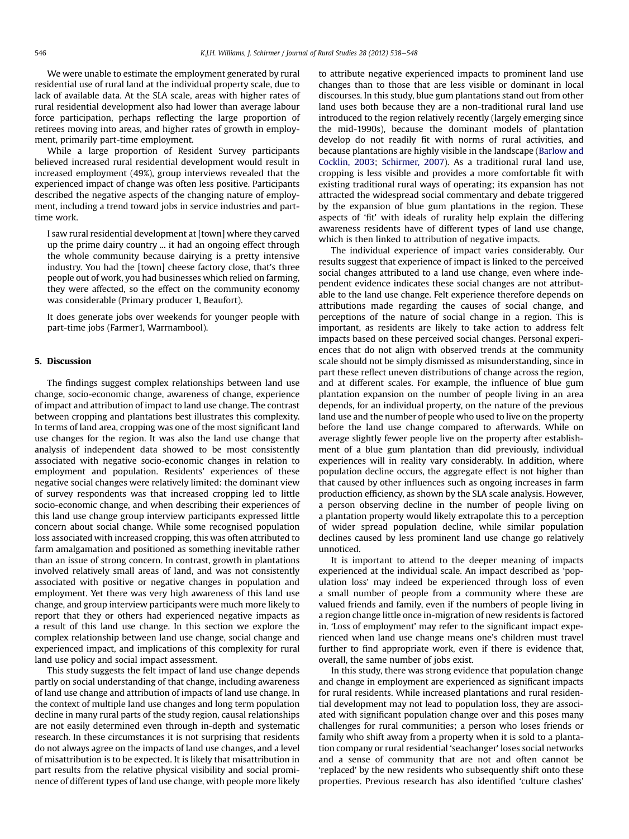We were unable to estimate the employment generated by rural residential use of rural land at the individual property scale, due to lack of available data. At the SLA scale, areas with higher rates of rural residential development also had lower than average labour force participation, perhaps reflecting the large proportion of retirees moving into areas, and higher rates of growth in employment, primarily part-time employment.

While a large proportion of Resident Survey participants believed increased rural residential development would result in increased employment (49%), group interviews revealed that the experienced impact of change was often less positive. Participants described the negative aspects of the changing nature of employment, including a trend toward jobs in service industries and parttime work.

I saw rural residential development at [town] where they carved up the prime dairy country ... it had an ongoing effect through the whole community because dairying is a pretty intensive industry. You had the [town] cheese factory close, that's three people out of work, you had businesses which relied on farming, they were affected, so the effect on the community economy was considerable (Primary producer 1, Beaufort).

It does generate jobs over weekends for younger people with part-time jobs (Farmer1, Warrnambool).

# 5. Discussion

The findings suggest complex relationships between land use change, socio-economic change, awareness of change, experience of impact and attribution of impact to land use change. The contrast between cropping and plantations best illustrates this complexity. In terms of land area, cropping was one of the most significant land use changes for the region. It was also the land use change that analysis of independent data showed to be most consistently associated with negative socio-economic changes in relation to employment and population. Residents' experiences of these negative social changes were relatively limited: the dominant view of survey respondents was that increased cropping led to little socio-economic change, and when describing their experiences of this land use change group interview participants expressed little concern about social change. While some recognised population loss associated with increased cropping, this was often attributed to farm amalgamation and positioned as something inevitable rather than an issue of strong concern. In contrast, growth in plantations involved relatively small areas of land, and was not consistently associated with positive or negative changes in population and employment. Yet there was very high awareness of this land use change, and group interview participants were much more likely to report that they or others had experienced negative impacts as a result of this land use change. In this section we explore the complex relationship between land use change, social change and experienced impact, and implications of this complexity for rural land use policy and social impact assessment.

This study suggests the felt impact of land use change depends partly on social understanding of that change, including awareness of land use change and attribution of impacts of land use change. In the context of multiple land use changes and long term population decline in many rural parts of the study region, causal relationships are not easily determined even through in-depth and systematic research. In these circumstances it is not surprising that residents do not always agree on the impacts of land use changes, and a level of misattribution is to be expected. It is likely that misattribution in part results from the relative physical visibility and social prominence of different types of land use change, with people more likely to attribute negative experienced impacts to prominent land use changes than to those that are less visible or dominant in local discourses. In this study, blue gum plantations stand out from other land uses both because they are a non-traditional rural land use introduced to the region relatively recently (largely emerging since the mid-1990s), because the dominant models of plantation develop do not readily fit with norms of rural activities, and because plantations are highly visible in the landscape [\(Barlow and](#page-9-0) [Cocklin, 2003;](#page-9-0) [Schirmer, 2007\)](#page-10-0). As a traditional rural land use, cropping is less visible and provides a more comfortable fit with existing traditional rural ways of operating; its expansion has not attracted the widespread social commentary and debate triggered by the expansion of blue gum plantations in the region. These aspects of 'fit' with ideals of rurality help explain the differing awareness residents have of different types of land use change, which is then linked to attribution of negative impacts.

The individual experience of impact varies considerably. Our results suggest that experience of impact is linked to the perceived social changes attributed to a land use change, even where independent evidence indicates these social changes are not attributable to the land use change. Felt experience therefore depends on attributions made regarding the causes of social change, and perceptions of the nature of social change in a region. This is important, as residents are likely to take action to address felt impacts based on these perceived social changes. Personal experiences that do not align with observed trends at the community scale should not be simply dismissed as misunderstanding, since in part these reflect uneven distributions of change across the region, and at different scales. For example, the influence of blue gum plantation expansion on the number of people living in an area depends, for an individual property, on the nature of the previous land use and the number of people who used to live on the property before the land use change compared to afterwards. While on average slightly fewer people live on the property after establishment of a blue gum plantation than did previously, individual experiences will in reality vary considerably. In addition, where population decline occurs, the aggregate effect is not higher than that caused by other influences such as ongoing increases in farm production efficiency, as shown by the SLA scale analysis. However, a person observing decline in the number of people living on a plantation property would likely extrapolate this to a perception of wider spread population decline, while similar population declines caused by less prominent land use change go relatively unnoticed.

It is important to attend to the deeper meaning of impacts experienced at the individual scale. An impact described as 'population loss' may indeed be experienced through loss of even a small number of people from a community where these are valued friends and family, even if the numbers of people living in a region change little once in-migration of new residents is factored in. 'Loss of employment' may refer to the significant impact experienced when land use change means one's children must travel further to find appropriate work, even if there is evidence that, overall, the same number of jobs exist.

In this study, there was strong evidence that population change and change in employment are experienced as significant impacts for rural residents. While increased plantations and rural residential development may not lead to population loss, they are associated with significant population change over and this poses many challenges for rural communities; a person who loses friends or family who shift away from a property when it is sold to a plantation company or rural residential 'seachanger' loses social networks and a sense of community that are not and often cannot be 'replaced' by the new residents who subsequently shift onto these properties. Previous research has also identified 'culture clashes'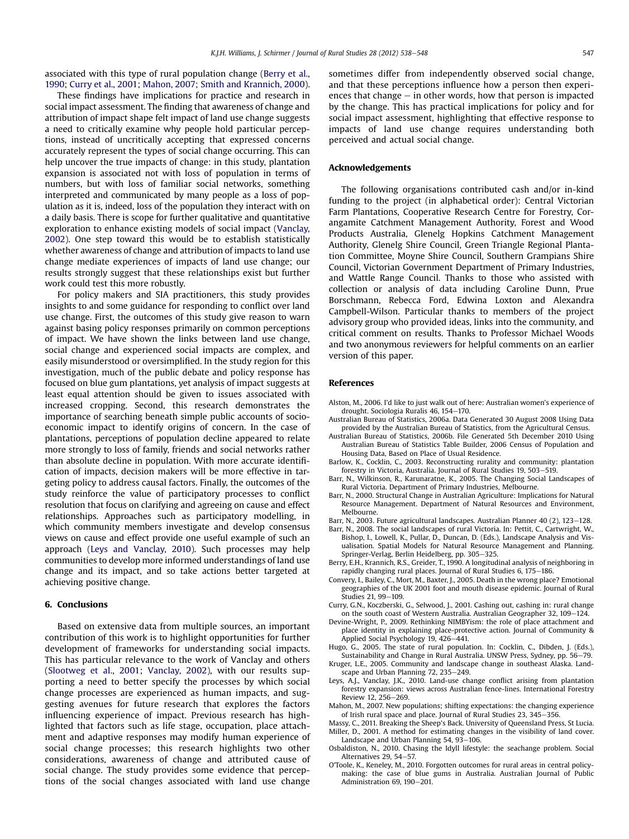<span id="page-9-0"></span>associated with this type of rural population change (Berry et al., 1990; Curry et al., 2001; Mahon, 2007; [Smith and Krannich, 2000\)](#page-10-0).

These findings have implications for practice and research in social impact assessment. The finding that awareness of change and attribution of impact shape felt impact of land use change suggests a need to critically examine why people hold particular perceptions, instead of uncritically accepting that expressed concerns accurately represent the types of social change occurring. This can help uncover the true impacts of change: in this study, plantation expansion is associated not with loss of population in terms of numbers, but with loss of familiar social networks, something interpreted and communicated by many people as a loss of population as it is, indeed, loss of the population they interact with on a daily basis. There is scope for further qualitative and quantitative exploration to enhance existing models of social impact [\(Vanclay,](#page-10-0) [2002\)](#page-10-0). One step toward this would be to establish statistically whether awareness of change and attribution of impacts to land use change mediate experiences of impacts of land use change; our results strongly suggest that these relationships exist but further work could test this more robustly.

For policy makers and SIA practitioners, this study provides insights to and some guidance for responding to conflict over land use change. First, the outcomes of this study give reason to warn against basing policy responses primarily on common perceptions of impact. We have shown the links between land use change, social change and experienced social impacts are complex, and easily misunderstood or oversimplified. In the study region for this investigation, much of the public debate and policy response has focused on blue gum plantations, yet analysis of impact suggests at least equal attention should be given to issues associated with increased cropping. Second, this research demonstrates the importance of searching beneath simple public accounts of socioeconomic impact to identify origins of concern. In the case of plantations, perceptions of population decline appeared to relate more strongly to loss of family, friends and social networks rather than absolute decline in population. With more accurate identification of impacts, decision makers will be more effective in targeting policy to address causal factors. Finally, the outcomes of the study reinforce the value of participatory processes to conflict resolution that focus on clarifying and agreeing on cause and effect relationships. Approaches such as participatory modelling, in which community members investigate and develop consensus views on cause and effect provide one useful example of such an approach (Leys and Vanclay, 2010). Such processes may help communities to develop more informed understandings of land use change and its impact, and so take actions better targeted at achieving positive change.

## 6. Conclusions

Based on extensive data from multiple sources, an important contribution of this work is to highlight opportunities for further development of frameworks for understanding social impacts. This has particular relevance to the work of Vanclay and others ([Slootweg et al., 2001](#page-10-0); [Vanclay, 2002](#page-10-0)), with our results supporting a need to better specify the processes by which social change processes are experienced as human impacts, and suggesting avenues for future research that explores the factors influencing experience of impact. Previous research has highlighted that factors such as life stage, occupation, place attachment and adaptive responses may modify human experience of social change processes; this research highlights two other considerations, awareness of change and attributed cause of social change. The study provides some evidence that perceptions of the social changes associated with land use change

sometimes differ from independently observed social change, and that these perceptions influence how a person then experiences that change  $-$  in other words, how that person is impacted by the change. This has practical implications for policy and for social impact assessment, highlighting that effective response to impacts of land use change requires understanding both perceived and actual social change.

## Acknowledgements

The following organisations contributed cash and/or in-kind funding to the project (in alphabetical order): Central Victorian Farm Plantations, Cooperative Research Centre for Forestry, Corangamite Catchment Management Authority, Forest and Wood Products Australia, Glenelg Hopkins Catchment Management Authority, Glenelg Shire Council, Green Triangle Regional Plantation Committee, Moyne Shire Council, Southern Grampians Shire Council, Victorian Government Department of Primary Industries, and Wattle Range Council. Thanks to those who assisted with collection or analysis of data including Caroline Dunn, Prue Borschmann, Rebecca Ford, Edwina Loxton and Alexandra Campbell-Wilson. Particular thanks to members of the project advisory group who provided ideas, links into the community, and critical comment on results. Thanks to Professor Michael Woods and two anonymous reviewers for helpful comments on an earlier version of this paper.

#### References

- Alston, M., 2006. I'd like to just walk out of here: Australian women's experience of drought. Sociologia Ruralis 46, 154-170.
- Australian Bureau of Statistics, 2006a. Data Generated 30 August 2008 Using Data provided by the Australian Bureau of Statistics, from the Agricultural Census.
- Australian Bureau of Statistics, 2006b. File Generated 5th December 2010 Using Australian Bureau of Statistics Table Builder, 2006 Census of Population and Housing Data, Based on Place of Usual Residence.
- Barlow, K., Cocklin, C., 2003. Reconstructing rurality and community: plantation forestry in Victoria, Australia. Journal of Rural Studies 19, 503-519.
- Barr, N., Wilkinson, R., Karunaratne, K., 2005. The Changing Social Landscapes of Rural Victoria. Department of Primary Industries, Melbourne.
- Barr, N., 2000. Structural Change in Australian Agriculture: Implications for Natural Resource Management. Department of Natural Resources and Environment, Melbourne.
- Barr, N., 2003. Future agricultural landscapes. Australian Planner 40 (2), 123-128.
- Barr, N., 2008. The social landscapes of rural Victoria. In: Pettit, C., Cartwright, W., Bishop, I., Lowell, K., Pullar, D., Duncan, D. (Eds.), Landscape Analysis and Visualisation. Spatial Models for Natural Resource Management and Planning. Springer-Verlag, Berlin Heidelberg, pp. 305-325.
- Berry, E.H., Krannich, R.S., Greider, T., 1990. A longitudinal analysis of neighboring in rapidly changing rural places. Journal of Rural Studies 6, 175-186.
- Convery, I., Bailey, C., Mort, M., Baxter, J., 2005. Death in the wrong place? Emotional geographies of the UK 2001 foot and mouth disease epidemic. Journal of Rural Studies 21, 99-109.
- Curry, G.N., Koczberski, G., Selwood, J., 2001. Cashing out, cashing in: rural change on the south coast of Western Australia. Australian Geographer 32, 109-124.
- Devine-Wright, P., 2009. Rethinking NIMBYism: the role of place attachment and place identity in explaining place-protective action. Journal of Community & Applied Social Psychology 19, 426-441.
- Hugo, G., 2005. The state of rural population. In: Cocklin, C., Dibden, J. (Eds.), Sustainability and Change in Rural Australia. UNSW Press, Sydney, pp. 56-79.
- Kruger, L.E., 2005. Community and landscape change in southeast Alaska. Landscape and Urban Planning 72, 235-249.
- Leys, A.J., Vanclay, J.K., 2010. Land-use change conflict arising from plantation forestry expansion: views across Australian fence-lines. International Forestry Review 12, 256-269.
- Mahon, M., 2007. New populations; shifting expectations: the changing experience of Irish rural space and place. Journal of Rural Studies 23, 345-356.
- Massy, C., 2011. Breaking the Sheep's Back. University of Queensland Press, St Lucia. Miller, D., 2001. A method for estimating changes in the visibility of land cover. Landscape and Urban Planning 54, 93-106.
- Osbaldiston, N., 2010. Chasing the Idyll lifestyle: the seachange problem. Social Alternatives 29, 54-57.
- O'Toole, K., Keneley, M., 2010. Forgotten outcomes for rural areas in central policymaking: the case of blue gums in Australia. Australian Journal of Public Administration 69, 190-201.